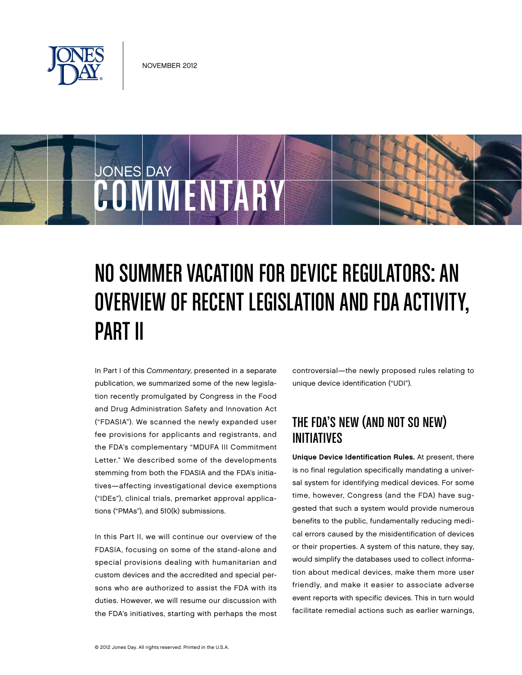

COMMENTARY

JONES DAY

# NO SUMMER VACATION FOR DEVICE REGULATORS: AN OVERVIEW OF RECENT LEGISLATION AND FDA ACTIVITY, Part II

In Part I of this Commentary, presented in a separate publication, we summarized some of the new legislation recently promulgated by Congress in the Food and Drug Administration Safety and Innovation Act ("FDASIA"). We scanned the newly expanded user fee provisions for applicants and registrants, and the FDA's complementary "MDUFA III Commitment Letter." We described some of the developments stemming from both the FDASIA and the FDA's initiatives—affecting investigational device exemptions ("IDEs"), clinical trials, premarket approval applications ("PMAs"), and 510(k) submissions.

In this Part II, we will continue our overview of the FDASIA, focusing on some of the stand-alone and special provisions dealing with humanitarian and custom devices and the accredited and special persons who are authorized to assist the FDA with its duties. However, we will resume our discussion with the FDA's initiatives, starting with perhaps the most controversial—the newly proposed rules relating to unique device identification ("UDI").

# The FDA's New (and Not So New) Initiatives

Unique Device Identification Rules. At present, there is no final regulation specifically mandating a universal system for identifying medical devices. For some time, however, Congress (and the FDA) have suggested that such a system would provide numerous benefits to the public, fundamentally reducing medical errors caused by the misidentification of devices or their properties. A system of this nature, they say, would simplify the databases used to collect information about medical devices, make them more user friendly, and make it easier to associate adverse event reports with specific devices. This in turn would facilitate remedial actions such as earlier warnings,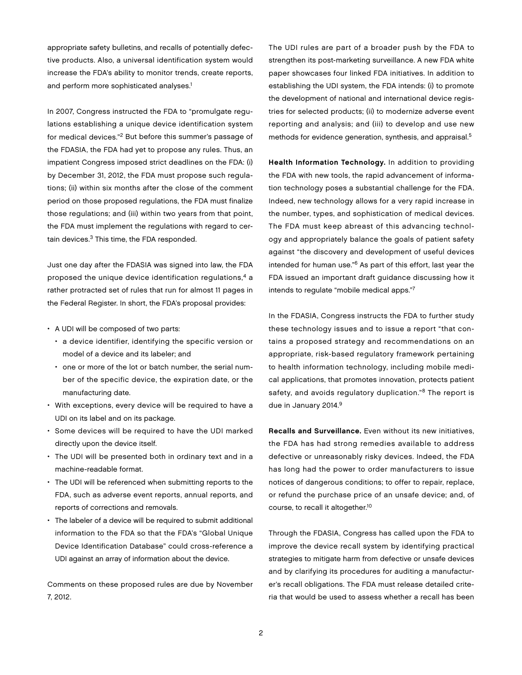appropriate safety bulletins, and recalls of potentially defective products. Also, a universal identification system would increase the FDA's ability to monitor trends, create reports, and perform more sophisticated analyses.<sup>1</sup>

In 2007, Congress instructed the FDA to "promulgate regulations establishing a unique device identification system for medical devices."2 But before this summer's passage of the FDASIA, the FDA had yet to propose any rules. Thus, an impatient Congress imposed strict deadlines on the FDA: (i) by December 31, 2012, the FDA must propose such regulations; (ii) within six months after the close of the comment period on those proposed regulations, the FDA must finalize those regulations; and (iii) within two years from that point, the FDA must implement the regulations with regard to certain devices.<sup>3</sup> This time, the FDA responded.

Just one day after the FDASIA was signed into law, the FDA proposed the unique device identification regulations,4 a rather protracted set of rules that run for almost 11 pages in the Federal Register. In short, the FDA's proposal provides:

- A UDI will be composed of two parts:
	- a device identifier, identifying the specific version or model of a device and its labeler; and
	- one or more of the lot or batch number, the serial number of the specific device, the expiration date, or the manufacturing date.
- With exceptions, every device will be required to have a UDI on its label and on its package.
- Some devices will be required to have the UDI marked directly upon the device itself.
- The UDI will be presented both in ordinary text and in a machine-readable format.
- The UDI will be referenced when submitting reports to the FDA, such as adverse event reports, annual reports, and reports of corrections and removals.
- The labeler of a device will be required to submit additional information to the FDA so that the FDA's "Global Unique Device Identification Database" could cross-reference a UDI against an array of information about the device.

Comments on these proposed rules are due by November 7, 2012.

The UDI rules are part of a broader push by the FDA to strengthen its post-marketing surveillance. A new FDA white paper showcases four linked FDA initiatives. In addition to establishing the UDI system, the FDA intends: (i) to promote the development of national and international device registries for selected products; (ii) to modernize adverse event reporting and analysis; and (iii) to develop and use new methods for evidence generation, synthesis, and appraisal.<sup>5</sup>

Health Information Technology. In addition to providing the FDA with new tools, the rapid advancement of information technology poses a substantial challenge for the FDA. Indeed, new technology allows for a very rapid increase in the number, types, and sophistication of medical devices. The FDA must keep abreast of this advancing technology and appropriately balance the goals of patient safety against "the discovery and development of useful devices intended for human use."6 As part of this effort, last year the FDA issued an important draft guidance discussing how it intends to regulate "mobile medical apps."7

In the FDASIA, Congress instructs the FDA to further study these technology issues and to issue a report "that contains a proposed strategy and recommendations on an appropriate, risk-based regulatory framework pertaining to health information technology, including mobile medical applications, that promotes innovation, protects patient safety, and avoids regulatory duplication."<sup>8</sup> The report is due in January 2014.9

Recalls and Surveillance. Even without its new initiatives, the FDA has had strong remedies available to address defective or unreasonably risky devices. Indeed, the FDA has long had the power to order manufacturers to issue notices of dangerous conditions; to offer to repair, replace, or refund the purchase price of an unsafe device; and, of course, to recall it altogether.10

Through the FDASIA, Congress has called upon the FDA to improve the device recall system by identifying practical strategies to mitigate harm from defective or unsafe devices and by clarifying its procedures for auditing a manufacturer's recall obligations. The FDA must release detailed criteria that would be used to assess whether a recall has been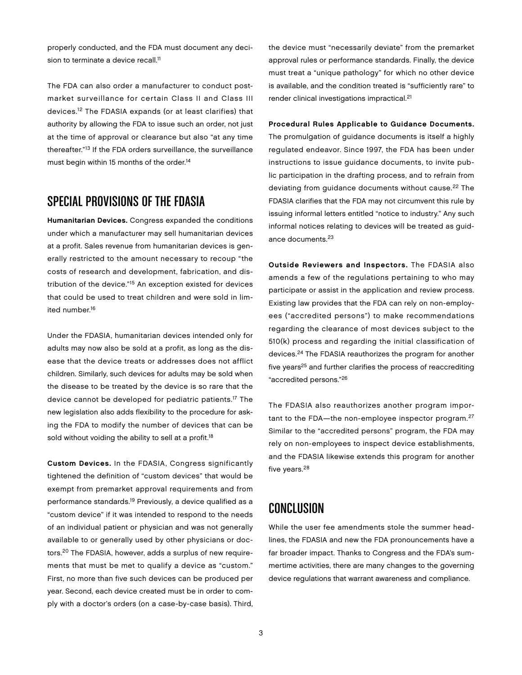properly conducted, and the FDA must document any decision to terminate a device recall.<sup>11</sup>

The FDA can also order a manufacturer to conduct postmarket surveillance for certain Class II and Class III devices.12 The FDASIA expands (or at least clarifies) that authority by allowing the FDA to issue such an order, not just at the time of approval or clearance but also "at any time thereafter."13 If the FDA orders surveillance, the surveillance must begin within 15 months of the order.<sup>14</sup>

#### Special Provisions of the FDASIA

Humanitarian Devices. Congress expanded the conditions under which a manufacturer may sell humanitarian devices at a profit. Sales revenue from humanitarian devices is generally restricted to the amount necessary to recoup "the costs of research and development, fabrication, and distribution of the device."15 An exception existed for devices that could be used to treat children and were sold in limited number.16

Under the FDASIA, humanitarian devices intended only for adults may now also be sold at a profit, as long as the disease that the device treats or addresses does not afflict children. Similarly, such devices for adults may be sold when the disease to be treated by the device is so rare that the device cannot be developed for pediatric patients.17 The new legislation also adds flexibility to the procedure for asking the FDA to modify the number of devices that can be sold without voiding the ability to sell at a profit.<sup>18</sup>

Custom Devices. In the FDASIA, Congress significantly tightened the definition of "custom devices" that would be exempt from premarket approval requirements and from performance standards.19 Previously, a device qualified as a "custom device" if it was intended to respond to the needs of an individual patient or physician and was not generally available to or generally used by other physicians or doctors.20 The FDASIA, however, adds a surplus of new requirements that must be met to qualify a device as "custom." First, no more than five such devices can be produced per year. Second, each device created must be in order to comply with a doctor's orders (on a case-by-case basis). Third,

the device must "necessarily deviate" from the premarket approval rules or performance standards. Finally, the device must treat a "unique pathology" for which no other device is available, and the condition treated is "sufficiently rare" to render clinical investigations impractical.21

Procedural Rules Applicable to Guidance Documents. The promulgation of guidance documents is itself a highly regulated endeavor. Since 1997, the FDA has been under instructions to issue guidance documents, to invite public participation in the drafting process, and to refrain from deviating from guidance documents without cause.<sup>22</sup> The FDASIA clarifies that the FDA may not circumvent this rule by issuing informal letters entitled "notice to industry." Any such informal notices relating to devices will be treated as guidance documents.23

Outside Reviewers and Inspectors. The FDASIA also amends a few of the regulations pertaining to who may participate or assist in the application and review process. Existing law provides that the FDA can rely on non-employees ("accredited persons") to make recommendations regarding the clearance of most devices subject to the 510(k) process and regarding the initial classification of devices.24 The FDASIA reauthorizes the program for another five years<sup>25</sup> and further clarifies the process of reaccrediting "accredited persons."26

The FDASIA also reauthorizes another program important to the FDA-the non-employee inspector program.<sup>27</sup> Similar to the "accredited persons" program, the FDA may rely on non-employees to inspect device establishments, and the FDASIA likewise extends this program for another five years.<sup>28</sup>

## Conclusion

While the user fee amendments stole the summer headlines, the FDASIA and new the FDA pronouncements have a far broader impact. Thanks to Congress and the FDA's summertime activities, there are many changes to the governing device regulations that warrant awareness and compliance.